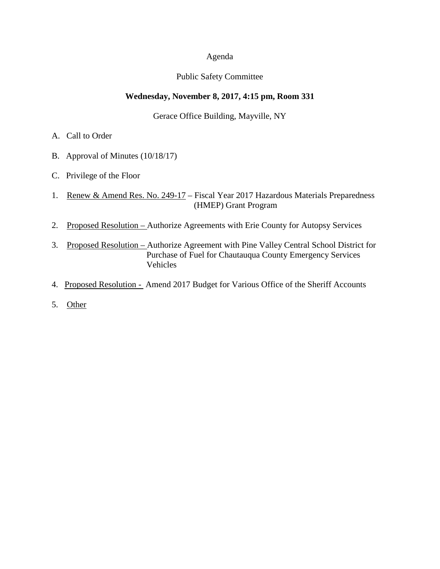#### Agenda

## Public Safety Committee

## **Wednesday, November 8, 2017, 4:15 pm, Room 331**

Gerace Office Building, Mayville, NY

- A. Call to Order
- B. Approval of Minutes (10/18/17)
- C. Privilege of the Floor
- 1. Renew & Amend Res. No. 249-17 Fiscal Year 2017 Hazardous Materials Preparedness (HMEP) Grant Program
- 2. Proposed Resolution Authorize Agreements with Erie County for Autopsy Services
- 3. Proposed Resolution Authorize Agreement with Pine Valley Central School District for Purchase of Fuel for Chautauqua County Emergency Services Vehicles
- 4. Proposed Resolution Amend 2017 Budget for Various Office of the Sheriff Accounts
- 5. Other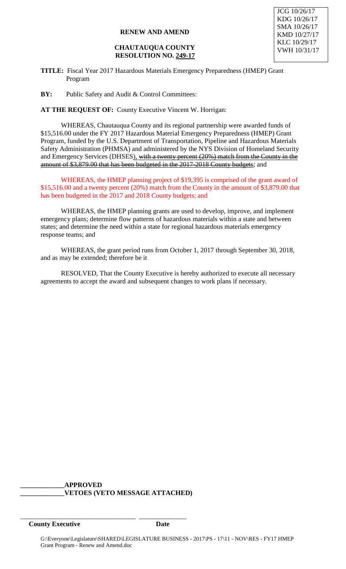#### **CHAUTAUQUA COUNTY RESOLUTION NO. 249-17**

**TITLE:** Fiscal Year 2017 Hazardous Materials Emergency Preparedness (HMEP) Grant Program

**BY:** Public Safety and Audit & Control Committees:

**AT THE REQUEST OF:** County Executive Vincent W. Horrigan:

WHEREAS, Chautauqua County and its regional partnership were awarded funds of \$15,516.00 under the FY 2017 Hazardous Material Emergency Preparedness (HMEP) Grant Program, funded by the U.S. Department of Transportation, Pipeline and Hazardous Materials Safety Administration (PHMSA) and administered by the NYS Division of Homeland Security and Emergency Services (DHSES), with a twenty percent (20%) match from the County in the amount of \$3,879.00 that has been budgeted in the 2017-2018 County budgets; and

WHEREAS, the HMEP planning project of \$19,395 is comprised of the grant award of \$15,516.00 and a twenty percent (20%) match from the County in the amount of \$3,879.00 that has been budgeted in the 2017 and 2018 County budgets; and

WHEREAS, the HMEP planning grants are used to develop, improve, and implement emergency plans; determine flow patterns of hazardous materials within a state and between states; and determine the need within a state for regional hazardous materials emergency response teams; and

WHEREAS, the grant period runs from October 1, 2017 through September 30, 2018, and as may be extended; therefore be it

RESOLVED, That the County Executive is hereby authorized to execute all necessary agreements to accept the award and subsequent changes to work plans if necessary.

#### **\_\_\_\_\_\_\_\_\_\_\_\_\_APPROVED \_\_\_\_\_\_\_\_\_\_\_\_\_VETOES (VETO MESSAGE ATTACHED)**

\_\_\_\_\_\_\_\_\_\_\_\_\_\_\_\_\_\_\_\_\_\_\_\_\_\_\_\_\_\_\_\_\_\_ \_\_\_\_\_\_\_\_\_\_\_\_\_\_

**County Executive Date**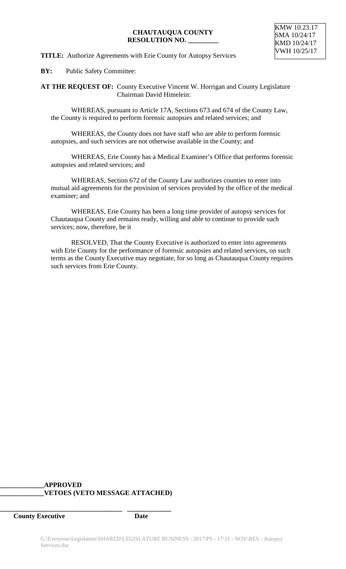## **CHAUTAUQUA COUNTY RESOLUTION NO. \_\_\_\_\_\_\_\_\_**

## **TITLE:** Authorize Agreements with Erie County for Autopsy Services

**BY:** Public Safety Committee:

**AT THE REQUEST OF:** County Executive Vincent W. Horrigan and County Legislature Chairman David Himelein:

WHEREAS, pursuant to Article 17A, Sections 673 and 674 of the County Law, the County is required to perform forensic autopsies and related services; and

WHEREAS, the County does not have staff who are able to perform forensic autopsies, and such services are not otherwise available in the County; and

WHEREAS, Erie County has a Medical Examiner's Office that performs forensic autopsies and related services; and

WHEREAS, Section 672 of the County Law authorizes counties to enter into mutual aid agreements for the provision of services provided by the office of the medical examiner; and

WHEREAS, Erie County has been a long time provider of autopsy services for Chautauqua County and remains ready, willing and able to continue to provide such services; now, therefore, be it

RESOLVED, That the County Executive is authorized to enter into agreements with Erie County for the performance of forensic autopsies and related services, on such terms as the County Executive may negotiate, for so long as Chautauqua County requires such services from Erie County.

# **\_\_\_\_\_\_\_\_\_\_\_\_\_APPROVED \_\_\_\_\_\_\_\_\_\_\_\_\_VETOES (VETO MESSAGE ATTACHED)**

**\_\_\_\_\_\_\_\_\_\_\_\_\_\_\_\_\_\_\_\_\_\_\_\_\_\_\_\_\_\_\_\_\_\_\_\_ \_\_\_\_\_\_\_\_\_\_\_\_\_**

**County Executive Date**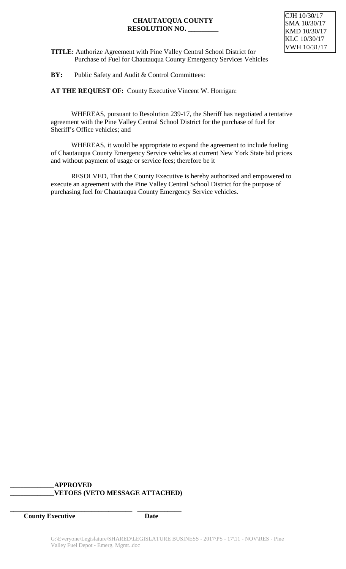# **CHAUTAUQUA COUNTY RESOLUTION NO. \_\_\_\_\_\_\_\_\_**

**TITLE:** Authorize Agreement with Pine Valley Central School District for Purchase of Fuel for Chautauqua County Emergency Services Vehicles

**BY:** Public Safety and Audit & Control Committees:

**AT THE REQUEST OF:** County Executive Vincent W. Horrigan:

WHEREAS, pursuant to Resolution 239-17, the Sheriff has negotiated a tentative agreement with the Pine Valley Central School District for the purchase of fuel for Sheriff's Office vehicles; and

WHEREAS, it would be appropriate to expand the agreement to include fueling of Chautauqua County Emergency Service vehicles at current New York State bid prices and without payment of usage or service fees; therefore be it

RESOLVED, That the County Executive is hereby authorized and empowered to execute an agreement with the Pine Valley Central School District for the purpose of purchasing fuel for Chautauqua County Emergency Service vehicles.

# **\_\_\_\_\_\_\_\_\_\_\_\_\_APPROVED \_\_\_\_\_\_\_\_\_\_\_\_\_VETOES (VETO MESSAGE ATTACHED)**

**\_\_\_\_\_\_\_\_\_\_\_\_\_\_\_\_\_\_\_\_\_\_\_\_\_\_\_\_\_\_\_\_\_\_\_\_ \_\_\_\_\_\_\_\_\_\_\_\_\_**

**County Executive Date**